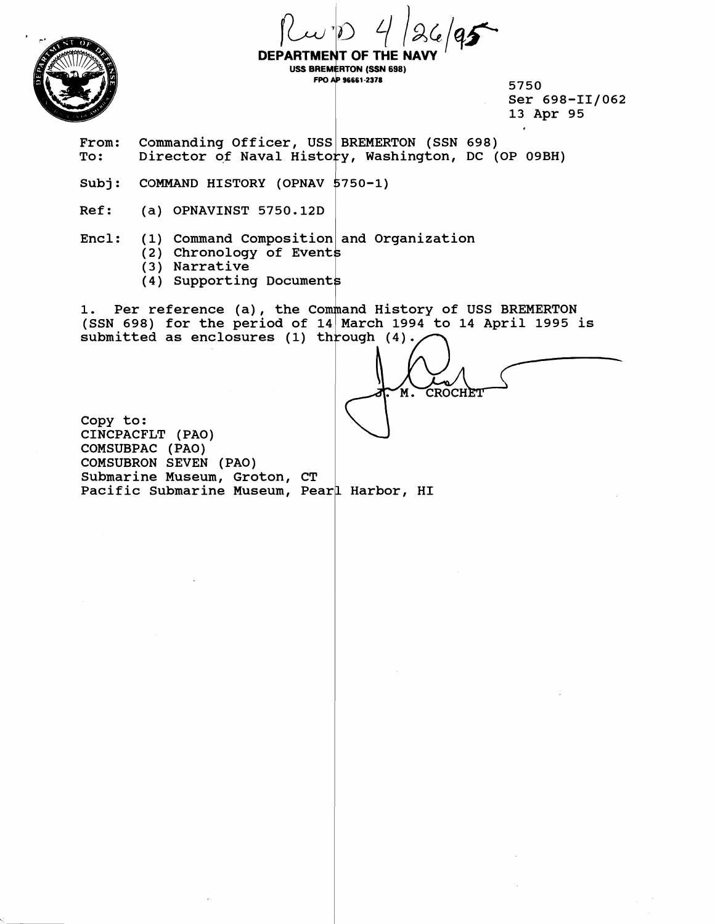



**DEPARTMENT OF THE USS BREMERTON (SSN 698)** FPO AP 96661-2378

**5750**  Ser 698-II/062 **13 Apr 95** 

From: Commanding Officer, USS BREMERTON (SSN 698)<br>To: Director of Naval History, Washington, DC (<br>Subj: COMMAND HISTORY (OPNAV 5750-1) Director of Naval History, Washington, DC (OP 09BH)

**Subj: COMMAND HISTORY (OPNAV 5750-1)**<br>Ref: (a) OPNAVINST 5750.12D

**Ref: (a) OPNAVINST 5750.12D** 

**Encl: (1) Command Composition and Organization** 

- (2) Chronology of Events
- **(3) Narrative**
- **(4) Supporting Document**

1. Per reference (a), the Command History of USS BREMERTON **(SSN 698) for the period of 14 March 1994 to 14 April 1995 is submitted as enclosures (1) th ough (4).** ':/--

**Copy to: CINCPACFLT (PAO) COMSUBPAC (PAO) COMSUBRON SEVEN (PAO) Submarine Museum, Groton, CT**  Pacific Submarine Museum, Pearl Harbor, HI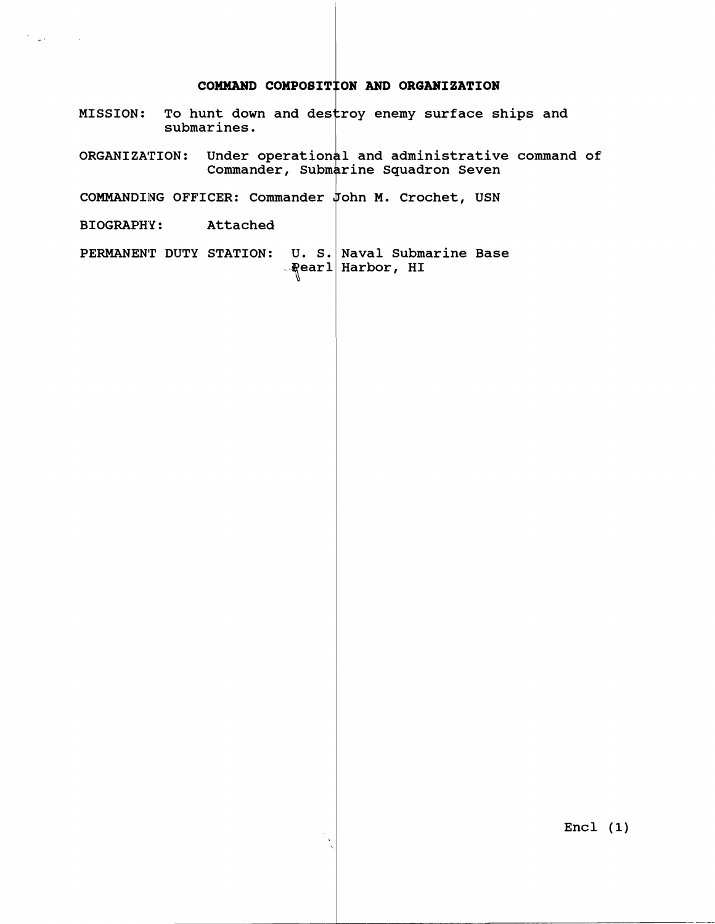## **COMMAND COMPOBI'I ON AN11 ORGANIZATION**

- <code>MISSION: To hunt down and destroy enemy surface ships and</code> **submarines.**
- **ORGAN1 ZA'TION** : **Under operat ior 1 and administrative command of Commander, Subn rine Squadron Seven**
- **COMMANDIING OFFICER: Commander ohn M. Crochet, USN**
- **BIOGRAPHY** : **Attached**

 $\mathcal{F}^{\mathcal{A}}_{\mathcal{A}}$  , where  $\mathcal{F}^{\mathcal{A}}_{\mathcal{A}}$  ,  $\mathcal{F}^{\mathcal{A}}_{\mathcal{A}}$ 

**PERMANENT DUTY STATION: R**earl Harbor, HI **Naval Submarine Base**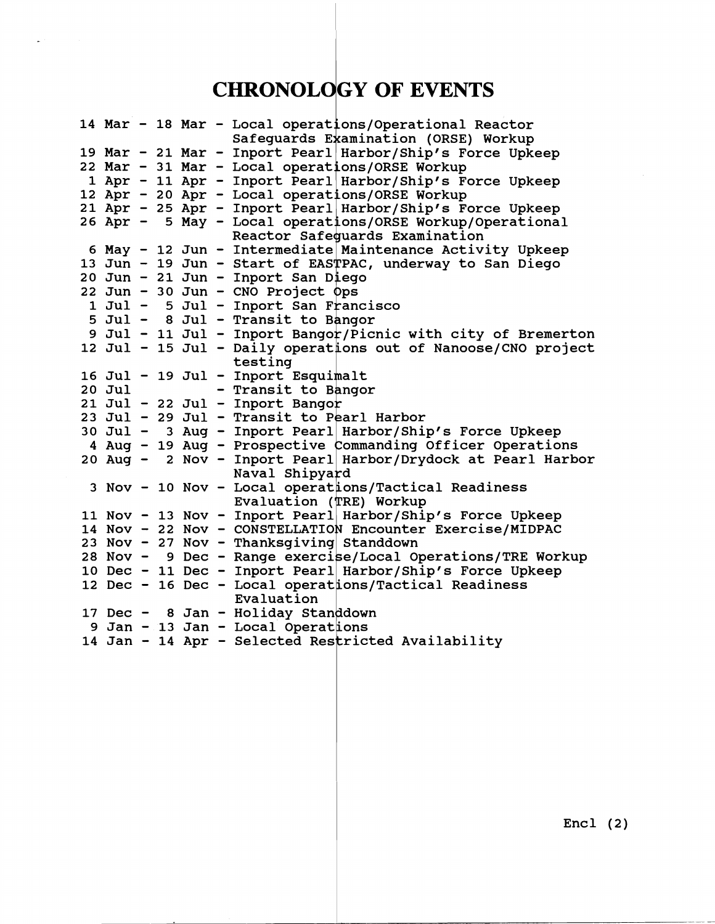## **CHRONOLOGY OF EVENTS**

|        |  |  | 14 Mar - 18 Mar - Local operations/Operational Reactor                                                                               |
|--------|--|--|--------------------------------------------------------------------------------------------------------------------------------------|
|        |  |  | Safeguards Examination (ORSE) Workup                                                                                                 |
|        |  |  | 19 Mar - 21 Mar - Inport Pearl Harbor/Ship's Force Upkeep                                                                            |
|        |  |  | 22 Mar - 31 Mar - Local operations/ORSE Workup                                                                                       |
|        |  |  | 1 Apr - 11 Apr - Inport Pearl Harbor/Ship's Force Upkeep                                                                             |
|        |  |  | 12 Apr - 20 Apr - Local operations/ORSE Workup                                                                                       |
|        |  |  |                                                                                                                                      |
|        |  |  | 21 Apr - 25 Apr - Inport Pearl Harbor/Ship's Force Upkeep                                                                            |
|        |  |  | 26 Apr - 5 May - Local operations/ORSE Workup/Operational                                                                            |
|        |  |  | Reactor Safeguards Examination                                                                                                       |
|        |  |  | 6 May - 12 Jun - Intermediate Maintenance Activity Upkeep                                                                            |
|        |  |  | 13 Jun - 19 Jun - Start of EASTPAC, underway to San Diego<br>20 Jun - 21 Jun - Inport San Diego<br>22 Jun - 30 Jun - CNO Project Ops |
|        |  |  |                                                                                                                                      |
|        |  |  |                                                                                                                                      |
|        |  |  | 1 Jul - 5 Jul - Inport San Francisco                                                                                                 |
|        |  |  | 5 Jul - 8 Jul - Transit to Bangor                                                                                                    |
|        |  |  | 9 Jul - 11 Jul - Inport Bangor/Picnic with city of Bremerton                                                                         |
|        |  |  | 12 Jul - 15 Jul - Daily operations out of Nanoose/CNO project                                                                        |
|        |  |  | testing                                                                                                                              |
|        |  |  | 16 Jul - 19 Jul - Inport Esquimalt                                                                                                   |
| 20 Jul |  |  | - Transit to Bangor                                                                                                                  |
|        |  |  | 21 Jul - 22 Jul - Inport Bangor                                                                                                      |
|        |  |  |                                                                                                                                      |
|        |  |  | 23 Jul - 29 Jul - Transit to Pearl Harbor<br>30 Jul - 3 Aug - Inport Pearl Harbor/Ship's Force Upkeep                                |
|        |  |  | 4 Aug - 19 Aug - Prospective Commanding Officer Operations                                                                           |
|        |  |  | 20 Aug - 2 Nov - Inport Pearl Harbor/Drydock at Pearl Harbor                                                                         |
|        |  |  | Naval Shipyard                                                                                                                       |
|        |  |  | 3 Nov - 10 Nov - Local operations/Tactical Readiness                                                                                 |
|        |  |  | Evaluation (TRE) Workup                                                                                                              |
|        |  |  | 11 Nov - 13 Nov - Inport Pearl Harbor/Ship's Force Upkeep                                                                            |
|        |  |  | 14 Nov - 22 Nov - CONSTELLATION Encounter Exercise/MIDPAC                                                                            |
|        |  |  |                                                                                                                                      |
|        |  |  | 23 Nov - 27 Nov - Thanksgiving Standdown                                                                                             |
|        |  |  | 28 Nov - 9 Dec - Range exercise/Local Operations/TRE Workup                                                                          |
|        |  |  | 10 Dec - 11 Dec - Inport Pearl Harbor/Ship's Force Upkeep<br>12 Dec - 16 Dec - Local operations/Tactical Readiness                   |
|        |  |  |                                                                                                                                      |
|        |  |  | Evaluation                                                                                                                           |
|        |  |  | 17 Dec - 8 Jan - Holiday Standdown                                                                                                   |
|        |  |  | 9 Jan - 13 Jan - Local Operations                                                                                                    |
|        |  |  | 14 Jan - 14 Apr - Selected Restricted Availability                                                                                   |
|        |  |  |                                                                                                                                      |
|        |  |  |                                                                                                                                      |
|        |  |  |                                                                                                                                      |

Encl **(2)**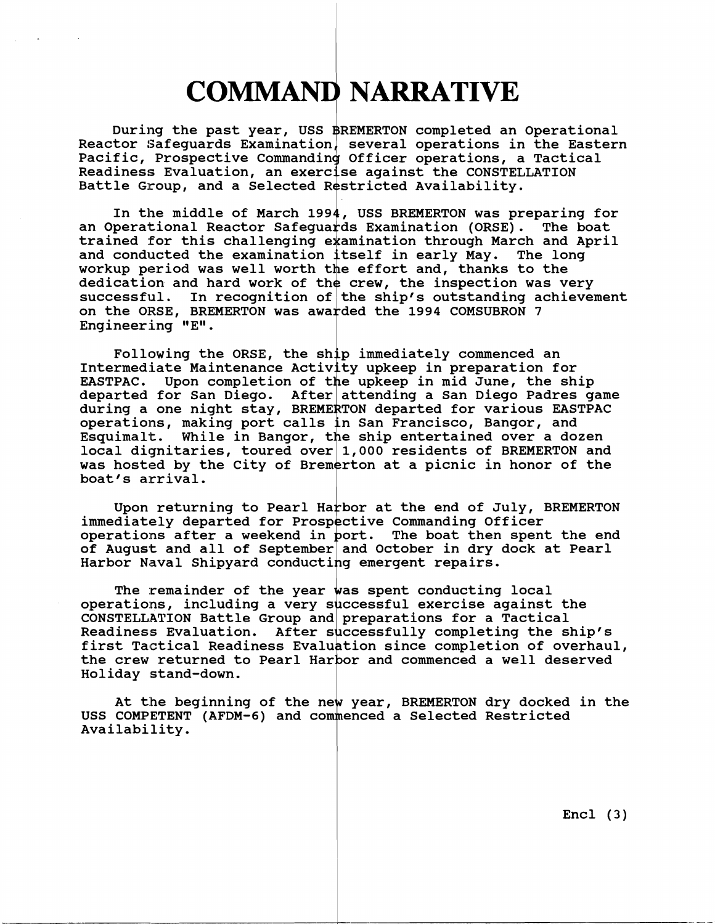## **COMMAND NARRATIVE**

During the past year, USS \$REMERTON completed an Operational **Reactor Safeguards Examination several operations in the Eastern**  Pacific, Prospective Commanding Officer operations, a Tactical Readiness Evaluation, an exercise against the CONSTELLATION Battle Group, and a Selected Restricted Availability.

In the middle of March 1994, USS BREMERTON was preparing for<br>perational Reactor Safeguards Examination (ORSE). The boat an Operational Reactor Safeguards Examination (ORSE). trained for this challenging examination through March and April and conducted the examination itself in early May. The long workup period was well worth the effort and, thanks to the dedication and hard work of the crew, the inspection was very<br>successful. In recognition of the ship's outstanding achievem on the ORSE, BREMERTON was awarded the 1994 COMSUBRON 7 **Engineering**  In recognition of the ship's outstanding achievement

Following the ORSE, the ship immediately commenced an Intermediate Maintenance Activity upkeep in preparation for EASTPAC. Upon completion of the upkeep in mid June, the ship **departed for San Diego. After nttending a San Diego Padres game**  during a one night stay, BREMERTON departed for various EASTPAC operations, making port calls in San Francisco, Bangor, and Esquimalt. While in Bangor, the ship entertained over a dozen **local dignitaries, toured over L,000 residents of BREMERTON and**  was hosted by the City of Bremerton at a picnic in honor of the **boat's arrival.** 

Upon returning to Pearl Harbor at the end of July, BREMERTON immediately departed for Prospective Commanding Officer operations after a weekend in port. The boat then spent the end of August and all of September and October in dry dock at Pearl **Harbor Naval Shipyard conducting emergent repairs.** 

The remainder of the year was spent conducting local operations, including a very successful exercise against the CONSTELLATION Battle Group and preparations for a Tactical Readiness Evaluation. After successfully completing the ship's first Tactical Readiness Evaluation since completion of overhaul, the crew returned to Pearl Harbor and commenced a well deserved **Holiday stand-down.** 

At the beginning of the new year, BREMERTON dry docked in the USS COMPETENT (AFDM-6) and commenced a Selected Restricted **Availability.** 

**Encl (3)**